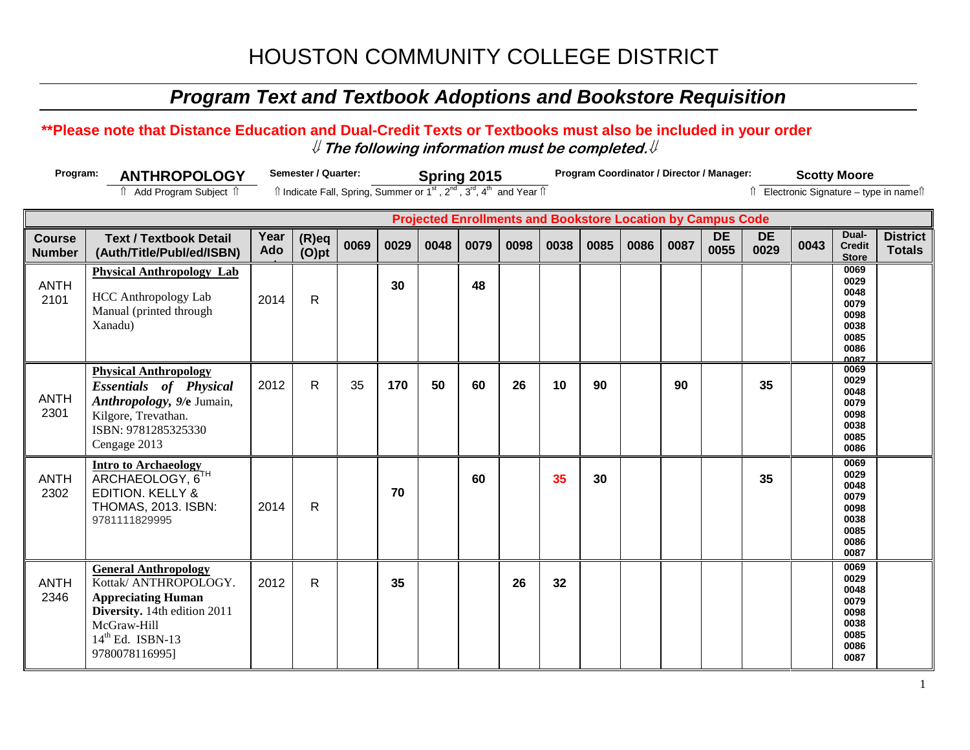## *Program Text and Textbook Adoptions and Bookstore Requisition*

### **\*\*Please note that Distance Education and Dual-Credit Texts or Textbooks must also be included in your order** ⇓ **The following information must be completed.**⇓

| Program:                       | <b>ANTHROPOLOGY</b>                                                                                                                                      |             | Semester / Quarter:<br>Spring 2015<br>Îl Indicate Fall, Spring, Summer or 1 <sup>st</sup> , 2 <sup>nd</sup> , 3 <sup>rd</sup> , 4 <sup>th</sup> and Year Îl |      |      |      |      |      |      | Program Coordinator / Director / Manager: |      |      |                                                                    | <b>Scotty Moore</b> |      |                                                                      |                                          |
|--------------------------------|----------------------------------------------------------------------------------------------------------------------------------------------------------|-------------|-------------------------------------------------------------------------------------------------------------------------------------------------------------|------|------|------|------|------|------|-------------------------------------------|------|------|--------------------------------------------------------------------|---------------------|------|----------------------------------------------------------------------|------------------------------------------|
|                                | î Add Program Subject î                                                                                                                                  |             |                                                                                                                                                             |      |      |      |      |      |      |                                           |      |      |                                                                    |                     |      |                                                                      | Îl Electronic Signature - type in namell |
|                                |                                                                                                                                                          |             |                                                                                                                                                             |      |      |      |      |      |      |                                           |      |      | <b>Projected Enrollments and Bookstore Location by Campus Code</b> |                     |      |                                                                      |                                          |
| <b>Course</b><br><b>Number</b> | <b>Text / Textbook Detail</b><br>(Auth/Title/Publ/ed/ISBN)                                                                                               | Year<br>Ado | $(R)$ eq<br>$(O)$ pt                                                                                                                                        | 0069 | 0029 | 0048 | 0079 | 0098 | 0038 | 0085                                      | 0086 | 0087 | <b>DE</b><br>0055                                                  | <b>DE</b><br>0029   | 0043 | Dual-<br><b>Credit</b><br><b>Store</b>                               | <b>District</b><br><b>Totals</b>         |
| <b>ANTH</b><br>2101            | <b>Physical Anthropology Lab</b><br><b>HCC Anthropology Lab</b><br>Manual (printed through<br>Xanadu)                                                    | 2014        | R                                                                                                                                                           |      | 30   |      | 48   |      |      |                                           |      |      |                                                                    |                     |      | 0069<br>0029<br>0048<br>0079<br>0098<br>0038<br>0085<br>0086<br>0087 |                                          |
| <b>ANTH</b><br>2301            | <b>Physical Anthropology</b><br><b>Essentials of Physical</b><br>Anthropology, 9/e Jumain,<br>Kilgore, Trevathan.<br>ISBN: 9781285325330<br>Cengage 2013 | 2012        | $\mathsf{R}$                                                                                                                                                | 35   | 170  | 50   | 60   | 26   | 10   | 90                                        |      | 90   |                                                                    | 35                  |      | 0069<br>0029<br>0048<br>0079<br>0098<br>0038<br>0085<br>0086         |                                          |
| <b>ANTH</b><br>2302            | <b>Intro to Archaeology</b><br>ARCHAEOLOGY, 6TH<br><b>EDITION. KELLY &amp;</b><br><b>THOMAS, 2013. ISBN:</b><br>9781111829995                            | 2014        | $\mathsf{R}$                                                                                                                                                |      | 70   |      | 60   |      | 35   | 30                                        |      |      |                                                                    | 35                  |      | 0069<br>0029<br>0048<br>0079<br>0098<br>0038<br>0085<br>0086<br>0087 |                                          |
| <b>ANTH</b><br>2346            | <b>General Anthropology</b><br>Kottak/ ANTHROPOLOGY.<br><b>Appreciating Human</b><br>Diversity. 14th edition 2011                                        | 2012        | R                                                                                                                                                           |      | 35   |      |      | 26   | 32   |                                           |      |      |                                                                    |                     |      | 0069<br>0029<br>0048<br>0079<br>0098                                 |                                          |

McGraw-Hill  $14<sup>th</sup>$  Ed. ISBN-13 9780078116995]